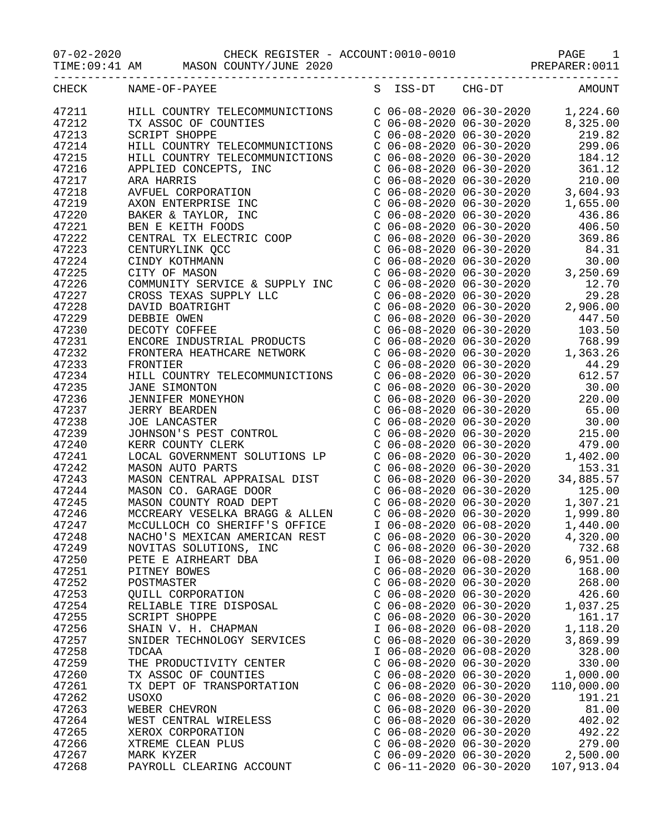07-02-2020 CHECK REGISTER - ACCOUNT:0010-0010 PAGE 1

TIME:09:41 AM MASON COUNTY/JUNE 2020 PREPARER:0011

| CHECK | NAME-OF-PAYEE                                                                                                                                                                                                                                                                                                                                                       |                           | S ISS-DT CHG-DT AMOUNT                                                                                                                                                                                                                                     |
|-------|---------------------------------------------------------------------------------------------------------------------------------------------------------------------------------------------------------------------------------------------------------------------------------------------------------------------------------------------------------------------|---------------------------|------------------------------------------------------------------------------------------------------------------------------------------------------------------------------------------------------------------------------------------------------------|
| 47211 | $\begin{tabular}{lcccc} HILL COUNTRY TELECOMMUNICTIONS & C & 06-08-2020 & 06-30-2020 & 1, 224.60 \\ TX ASSOC OF COUNITIES & C & 06-08-2020 & 06-30-2020 & 8, 325.00 \\ SCRIFT SHOPPE & C & 06-08-2020 & 06-30-2020 & 219.82 \\ HILL COUNTRY TELECOMMUNICTIONS & C & 06-08-2020 & 06-30-2020 & 184.12 \\ APPILL COUNTRY TELECOMMUNICTIONS & C & 06-08-2020 & 0$      |                           |                                                                                                                                                                                                                                                            |
| 47212 |                                                                                                                                                                                                                                                                                                                                                                     |                           |                                                                                                                                                                                                                                                            |
| 47213 |                                                                                                                                                                                                                                                                                                                                                                     |                           |                                                                                                                                                                                                                                                            |
| 47214 |                                                                                                                                                                                                                                                                                                                                                                     |                           |                                                                                                                                                                                                                                                            |
| 47215 |                                                                                                                                                                                                                                                                                                                                                                     |                           |                                                                                                                                                                                                                                                            |
| 47216 | APPLIED CONCEPTS, INC<br>ARA HARRIS<br>AVFUEL CORPORATION<br>AXON ENTERPRISE INC<br>BAKER & TAYLOR, INC<br>BEN E KEITH FOODS<br>CENTRAL TX ELECTRIC COOP<br>CENTURYLINK QCC<br>CINDY KOTHMANN<br>CITY OF MASON<br>COMMUNITY SERVICE & SUPPLY INC                                                                                                                    |                           |                                                                                                                                                                                                                                                            |
| 47217 |                                                                                                                                                                                                                                                                                                                                                                     |                           |                                                                                                                                                                                                                                                            |
| 47218 |                                                                                                                                                                                                                                                                                                                                                                     |                           |                                                                                                                                                                                                                                                            |
| 47219 |                                                                                                                                                                                                                                                                                                                                                                     |                           |                                                                                                                                                                                                                                                            |
| 47220 |                                                                                                                                                                                                                                                                                                                                                                     |                           |                                                                                                                                                                                                                                                            |
| 47221 |                                                                                                                                                                                                                                                                                                                                                                     |                           |                                                                                                                                                                                                                                                            |
| 47222 | BEN E KEITH FOODS<br>CENTRAL TRECKTIC COOP<br>CONG-08-202006-30-2020<br>CENTRAL INK QCC<br>CONG-08-202006-30-2020<br>CENTURYLINK QCC<br>CONGENTRAL COOP COOP COOP COOP 202006-30-2020<br>CONGENTRAL EXPLICE & SUPPLY INC COOP COOP 202006-3                                                                                                                         |                           |                                                                                                                                                                                                                                                            |
|       |                                                                                                                                                                                                                                                                                                                                                                     |                           |                                                                                                                                                                                                                                                            |
| 47223 |                                                                                                                                                                                                                                                                                                                                                                     |                           |                                                                                                                                                                                                                                                            |
| 47224 |                                                                                                                                                                                                                                                                                                                                                                     |                           |                                                                                                                                                                                                                                                            |
| 47225 |                                                                                                                                                                                                                                                                                                                                                                     |                           |                                                                                                                                                                                                                                                            |
| 47226 |                                                                                                                                                                                                                                                                                                                                                                     |                           |                                                                                                                                                                                                                                                            |
| 47227 |                                                                                                                                                                                                                                                                                                                                                                     |                           |                                                                                                                                                                                                                                                            |
| 47228 |                                                                                                                                                                                                                                                                                                                                                                     |                           |                                                                                                                                                                                                                                                            |
| 47229 |                                                                                                                                                                                                                                                                                                                                                                     |                           |                                                                                                                                                                                                                                                            |
| 47230 |                                                                                                                                                                                                                                                                                                                                                                     |                           |                                                                                                                                                                                                                                                            |
| 47231 | CROSS TEXAS SUPPLY LLC<br>DAVID BOATRIGHT<br>DEBBIE OWEN<br>DECOTY COFFEE<br>ENCORE INDUSTRIAL PRODUCTS<br>FRONTERA HEATHCAPE NETWOLY                                                                                                                                                                                                                               |                           |                                                                                                                                                                                                                                                            |
| 47232 |                                                                                                                                                                                                                                                                                                                                                                     |                           |                                                                                                                                                                                                                                                            |
| 47233 | FRONTIER                                                                                                                                                                                                                                                                                                                                                            |                           |                                                                                                                                                                                                                                                            |
| 47234 | $\begin{tabular}{l c c c c c} \multicolumn{4}{l}{\textbf{FRONTIER}} & $\mathbb{C}$& 06-08-2020 & 06-30-2020 & 44.29\\ \multicolumn{4}{l}{\textbf{HILL COUNMUNICTIONS}} & $\mathbb{C}$& 06-08-2020 & 66-30-2020 & 612.57\\ \multicolumn{4}{l}{\textbf{JRINIFER MONEYHON}} & $\mathbb{C}$& 06-08-2020 & 66-30-2020 & 620.00\\ \multicolumn{4}{l}{\textbf{JERN IFER M$ |                           | $206-08-2020$<br>$206-08-2020$<br>$206-08-2020$<br>$206-08-2020$<br>$206-08-2020$<br>$206-08-2020$<br>$206-08-2020$<br>$206-08-2020$<br>$206-08-2020$<br>$206-08-2020$<br>$206-08-2020$<br>$206-08-2020$<br>$206-08-2020$<br>$215.00$<br>$206-08-2020$<br> |
| 47235 |                                                                                                                                                                                                                                                                                                                                                                     |                           |                                                                                                                                                                                                                                                            |
| 47236 |                                                                                                                                                                                                                                                                                                                                                                     |                           |                                                                                                                                                                                                                                                            |
| 47237 |                                                                                                                                                                                                                                                                                                                                                                     |                           |                                                                                                                                                                                                                                                            |
| 47238 |                                                                                                                                                                                                                                                                                                                                                                     |                           |                                                                                                                                                                                                                                                            |
| 47239 |                                                                                                                                                                                                                                                                                                                                                                     |                           |                                                                                                                                                                                                                                                            |
| 47240 |                                                                                                                                                                                                                                                                                                                                                                     |                           |                                                                                                                                                                                                                                                            |
| 47241 |                                                                                                                                                                                                                                                                                                                                                                     |                           |                                                                                                                                                                                                                                                            |
| 47242 |                                                                                                                                                                                                                                                                                                                                                                     |                           |                                                                                                                                                                                                                                                            |
| 47243 |                                                                                                                                                                                                                                                                                                                                                                     |                           |                                                                                                                                                                                                                                                            |
| 47244 |                                                                                                                                                                                                                                                                                                                                                                     |                           |                                                                                                                                                                                                                                                            |
|       |                                                                                                                                                                                                                                                                                                                                                                     |                           |                                                                                                                                                                                                                                                            |
| 47245 |                                                                                                                                                                                                                                                                                                                                                                     |                           |                                                                                                                                                                                                                                                            |
| 47246 |                                                                                                                                                                                                                                                                                                                                                                     |                           |                                                                                                                                                                                                                                                            |
| 47247 |                                                                                                                                                                                                                                                                                                                                                                     |                           |                                                                                                                                                                                                                                                            |
| 47248 | NACHO'S MEXICAN AMERICAN REST                                                                                                                                                                                                                                                                                                                                       | $C$ 06-08-2020 06-30-2020 | 4,320.00                                                                                                                                                                                                                                                   |
| 47249 | NOVITAS SOLUTIONS, INC                                                                                                                                                                                                                                                                                                                                              | $C$ 06-08-2020 06-30-2020 | 732.68                                                                                                                                                                                                                                                     |
| 47250 | PETE E AIRHEART DBA                                                                                                                                                                                                                                                                                                                                                 | I 06-08-2020 06-08-2020   | 6,951.00                                                                                                                                                                                                                                                   |
| 47251 | PITNEY BOWES                                                                                                                                                                                                                                                                                                                                                        | $C$ 06-08-2020 06-30-2020 | 168.00                                                                                                                                                                                                                                                     |
| 47252 | POSTMASTER                                                                                                                                                                                                                                                                                                                                                          | $C$ 06-08-2020 06-30-2020 | 268.00                                                                                                                                                                                                                                                     |
| 47253 | QUILL CORPORATION                                                                                                                                                                                                                                                                                                                                                   | $C$ 06-08-2020 06-30-2020 | 426.60                                                                                                                                                                                                                                                     |
| 47254 | RELIABLE TIRE DISPOSAL                                                                                                                                                                                                                                                                                                                                              | $C$ 06-08-2020 06-30-2020 | 1,037.25                                                                                                                                                                                                                                                   |
| 47255 | SCRIPT SHOPPE                                                                                                                                                                                                                                                                                                                                                       | $C$ 06-08-2020 06-30-2020 | 161.17                                                                                                                                                                                                                                                     |
| 47256 | SHAIN V. H. CHAPMAN                                                                                                                                                                                                                                                                                                                                                 | I 06-08-2020 06-08-2020   | 1,118.20                                                                                                                                                                                                                                                   |
| 47257 | SNIDER TECHNOLOGY SERVICES                                                                                                                                                                                                                                                                                                                                          | $C$ 06-08-2020 06-30-2020 | 3,869.99                                                                                                                                                                                                                                                   |
| 47258 | TDCAA                                                                                                                                                                                                                                                                                                                                                               | I 06-08-2020 06-08-2020   | 328.00                                                                                                                                                                                                                                                     |
| 47259 | THE PRODUCTIVITY CENTER                                                                                                                                                                                                                                                                                                                                             | $C$ 06-08-2020 06-30-2020 | 330.00                                                                                                                                                                                                                                                     |
| 47260 | TX ASSOC OF COUNTIES                                                                                                                                                                                                                                                                                                                                                | $C$ 06-08-2020 06-30-2020 | 1,000.00                                                                                                                                                                                                                                                   |
| 47261 | TX DEPT OF TRANSPORTATION                                                                                                                                                                                                                                                                                                                                           | $C$ 06-08-2020 06-30-2020 | 110,000.00                                                                                                                                                                                                                                                 |
| 47262 | USOXO                                                                                                                                                                                                                                                                                                                                                               | $C$ 06-08-2020 06-30-2020 | 191.21                                                                                                                                                                                                                                                     |
| 47263 | WEBER CHEVRON                                                                                                                                                                                                                                                                                                                                                       | $C$ 06-08-2020 06-30-2020 | 81.00                                                                                                                                                                                                                                                      |
| 47264 | WEST CENTRAL WIRELESS                                                                                                                                                                                                                                                                                                                                               | $C$ 06-08-2020 06-30-2020 | 402.02                                                                                                                                                                                                                                                     |
| 47265 | XEROX CORPORATION                                                                                                                                                                                                                                                                                                                                                   | $C$ 06-08-2020 06-30-2020 | 492.22                                                                                                                                                                                                                                                     |
|       |                                                                                                                                                                                                                                                                                                                                                                     |                           |                                                                                                                                                                                                                                                            |
| 47266 | XTREME CLEAN PLUS                                                                                                                                                                                                                                                                                                                                                   | $C$ 06-08-2020 06-30-2020 | 279.00                                                                                                                                                                                                                                                     |
| 47267 | MARK KYZER                                                                                                                                                                                                                                                                                                                                                          | $C$ 06-09-2020 06-30-2020 | 2,500.00                                                                                                                                                                                                                                                   |
| 47268 | PAYROLL CLEARING ACCOUNT                                                                                                                                                                                                                                                                                                                                            | $C$ 06-11-2020 06-30-2020 | 107,913.04                                                                                                                                                                                                                                                 |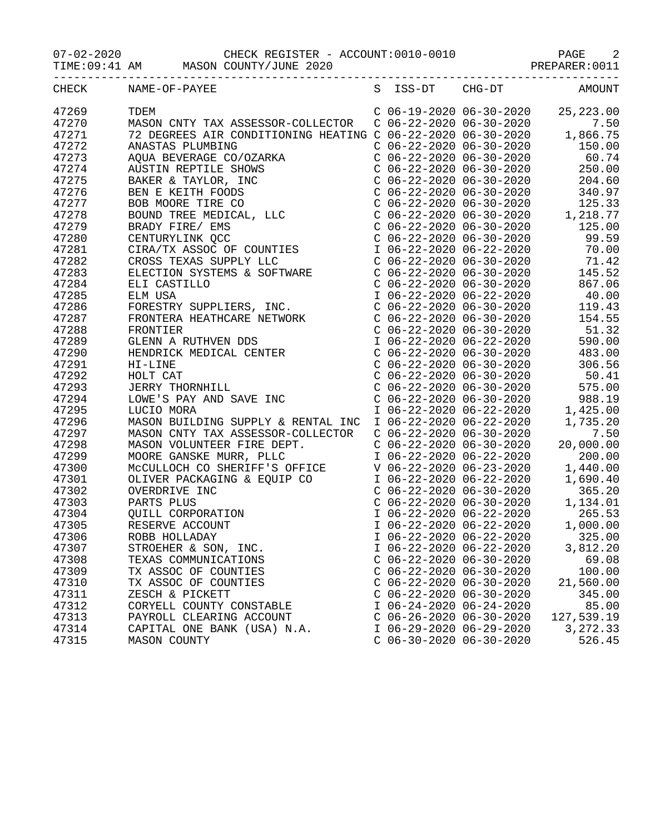07-02-2020 CHECK REGISTER - ACCOUNT:0010-0010 PAGE 2

TIME:09:41 AM MASON COUNTY/JUNE 2020 PREPARER:0011

|       | CHECK NAME-OF-PAYEE<br>S ISS-DT CHG-DT AMOUNT                                                                                                                                                                                                                                                                                                                                                           |                           |                           |                                                                                                                                                                                                    |
|-------|---------------------------------------------------------------------------------------------------------------------------------------------------------------------------------------------------------------------------------------------------------------------------------------------------------------------------------------------------------------------------------------------------------|---------------------------|---------------------------|----------------------------------------------------------------------------------------------------------------------------------------------------------------------------------------------------|
| 47269 |                                                                                                                                                                                                                                                                                                                                                                                                         |                           |                           |                                                                                                                                                                                                    |
| 47270 |                                                                                                                                                                                                                                                                                                                                                                                                         |                           |                           |                                                                                                                                                                                                    |
| 47271 |                                                                                                                                                                                                                                                                                                                                                                                                         |                           |                           |                                                                                                                                                                                                    |
| 47272 |                                                                                                                                                                                                                                                                                                                                                                                                         |                           |                           |                                                                                                                                                                                                    |
| 47273 |                                                                                                                                                                                                                                                                                                                                                                                                         |                           |                           |                                                                                                                                                                                                    |
| 47274 |                                                                                                                                                                                                                                                                                                                                                                                                         |                           |                           |                                                                                                                                                                                                    |
| 47275 |                                                                                                                                                                                                                                                                                                                                                                                                         |                           |                           |                                                                                                                                                                                                    |
| 47276 |                                                                                                                                                                                                                                                                                                                                                                                                         |                           |                           |                                                                                                                                                                                                    |
| 47277 |                                                                                                                                                                                                                                                                                                                                                                                                         |                           |                           |                                                                                                                                                                                                    |
| 47278 |                                                                                                                                                                                                                                                                                                                                                                                                         |                           |                           |                                                                                                                                                                                                    |
| 47279 |                                                                                                                                                                                                                                                                                                                                                                                                         |                           |                           |                                                                                                                                                                                                    |
| 47280 |                                                                                                                                                                                                                                                                                                                                                                                                         |                           |                           |                                                                                                                                                                                                    |
| 47281 |                                                                                                                                                                                                                                                                                                                                                                                                         |                           |                           |                                                                                                                                                                                                    |
| 47282 |                                                                                                                                                                                                                                                                                                                                                                                                         |                           |                           |                                                                                                                                                                                                    |
| 47283 |                                                                                                                                                                                                                                                                                                                                                                                                         |                           |                           |                                                                                                                                                                                                    |
| 47284 |                                                                                                                                                                                                                                                                                                                                                                                                         |                           |                           |                                                                                                                                                                                                    |
| 47285 |                                                                                                                                                                                                                                                                                                                                                                                                         |                           |                           |                                                                                                                                                                                                    |
| 47286 |                                                                                                                                                                                                                                                                                                                                                                                                         |                           |                           |                                                                                                                                                                                                    |
| 47287 |                                                                                                                                                                                                                                                                                                                                                                                                         |                           |                           |                                                                                                                                                                                                    |
| 47288 |                                                                                                                                                                                                                                                                                                                                                                                                         |                           |                           |                                                                                                                                                                                                    |
| 47289 |                                                                                                                                                                                                                                                                                                                                                                                                         |                           |                           |                                                                                                                                                                                                    |
| 47290 |                                                                                                                                                                                                                                                                                                                                                                                                         |                           |                           | $C$ 06-22-2020 06-30-2020 483.00                                                                                                                                                                   |
| 47291 | $\begin{tabular}{l c c c c} \multicolumn{4}{l}{A\text{QUA BEVERRAB}} & $\mathbb{CO}/02\text{ARKR} & $\mathbb{CO} & $60.74$ \\ \multicolumn{4}{l}{A\text{QUA BEVERRAB}} & $\mathbb{CO} & $60.72-20200$ & $60.74$ \\ \multicolumn{4}{l}{BA\text{MSTR}} & $\mathbb{REHT} & $\mathbb{CO} & $66-22-20200$ & $60.74$ \\ \multicolumn{4}{l}{BA\text{MRTR}} & $\mathbb{CO} & $\mathbb{CO} & $66-22-20200$ & $6$ |                           |                           | C 06-22-2020 06-30-2020<br>C 06-22-2020 06-30-2020 306.56<br>C 06-22-2020 06-30-2020 50.41<br>C 06-22-2020 06-30-2020 575.00<br>C 06-22-2020 06-30-2020 988.19<br>I 06-22-2020 06-22-2020 1,425.00 |
| 47292 |                                                                                                                                                                                                                                                                                                                                                                                                         |                           |                           |                                                                                                                                                                                                    |
| 47293 |                                                                                                                                                                                                                                                                                                                                                                                                         |                           |                           |                                                                                                                                                                                                    |
| 47294 |                                                                                                                                                                                                                                                                                                                                                                                                         |                           |                           |                                                                                                                                                                                                    |
| 47295 |                                                                                                                                                                                                                                                                                                                                                                                                         |                           |                           |                                                                                                                                                                                                    |
| 47296 | MASON BUILDING SUPPLY & RENTAL INC                                                                                                                                                                                                                                                                                                                                                                      |                           |                           | $I$ 06-22-2020 06-22-2020 1,735.20                                                                                                                                                                 |
| 47297 | MASON CNTY TAX ASSESSOR-COLLECTOR                                                                                                                                                                                                                                                                                                                                                                       |                           | $C$ 06-22-2020 06-30-2020 | 7.50                                                                                                                                                                                               |
| 47298 |                                                                                                                                                                                                                                                                                                                                                                                                         |                           |                           |                                                                                                                                                                                                    |
| 47299 |                                                                                                                                                                                                                                                                                                                                                                                                         |                           |                           |                                                                                                                                                                                                    |
| 47300 |                                                                                                                                                                                                                                                                                                                                                                                                         |                           |                           |                                                                                                                                                                                                    |
| 47301 |                                                                                                                                                                                                                                                                                                                                                                                                         |                           |                           |                                                                                                                                                                                                    |
| 47302 |                                                                                                                                                                                                                                                                                                                                                                                                         |                           |                           |                                                                                                                                                                                                    |
| 47303 | WHASON VOLUNTEER FIRE DEPT.<br>MASON VOLUNTEER FIRE DEPT.<br>MOORE GANSKE MURR, PLLC $106-22-202006-30-2020$<br>MOORE GANSKE MURR, PLLC $106-22-202006-30-2020$<br>MCCULLOCH CO SHERIFF'S OFFICE $V 06-22-202006-30-2020$<br>OLIVER PACK                                                                                                                                                                |                           |                           |                                                                                                                                                                                                    |
| 47304 |                                                                                                                                                                                                                                                                                                                                                                                                         |                           |                           |                                                                                                                                                                                                    |
| 47305 |                                                                                                                                                                                                                                                                                                                                                                                                         |                           |                           |                                                                                                                                                                                                    |
| 47306 |                                                                                                                                                                                                                                                                                                                                                                                                         |                           |                           |                                                                                                                                                                                                    |
| 47307 | STROEHER & SON, INC.                                                                                                                                                                                                                                                                                                                                                                                    |                           | I 06-22-2020 06-22-2020   | 3,812.20                                                                                                                                                                                           |
| 47308 | TEXAS COMMUNICATIONS                                                                                                                                                                                                                                                                                                                                                                                    | $C$ 06-22-2020 06-30-2020 |                           | 69.08                                                                                                                                                                                              |
| 47309 | TX ASSOC OF COUNTIES                                                                                                                                                                                                                                                                                                                                                                                    | $C$ 06-22-2020 06-30-2020 |                           | 100.00                                                                                                                                                                                             |
| 47310 | TX ASSOC OF COUNTIES                                                                                                                                                                                                                                                                                                                                                                                    | $C$ 06-22-2020 06-30-2020 |                           | 21,560.00                                                                                                                                                                                          |
| 47311 | ZESCH & PICKETT                                                                                                                                                                                                                                                                                                                                                                                         | $C$ 06-22-2020 06-30-2020 |                           | 345.00                                                                                                                                                                                             |
| 47312 | CORYELL COUNTY CONSTABLE                                                                                                                                                                                                                                                                                                                                                                                | I 06-24-2020 06-24-2020   |                           | 85.00                                                                                                                                                                                              |
| 47313 | PAYROLL CLEARING ACCOUNT                                                                                                                                                                                                                                                                                                                                                                                | $C$ 06-26-2020 06-30-2020 |                           | 127,539.19                                                                                                                                                                                         |
| 47314 | CAPITAL ONE BANK (USA) N.A.                                                                                                                                                                                                                                                                                                                                                                             | I 06-29-2020 06-29-2020   |                           | 3,272.33                                                                                                                                                                                           |
| 47315 | MASON COUNTY                                                                                                                                                                                                                                                                                                                                                                                            | $C$ 06-30-2020 06-30-2020 |                           | 526.45                                                                                                                                                                                             |
|       |                                                                                                                                                                                                                                                                                                                                                                                                         |                           |                           |                                                                                                                                                                                                    |